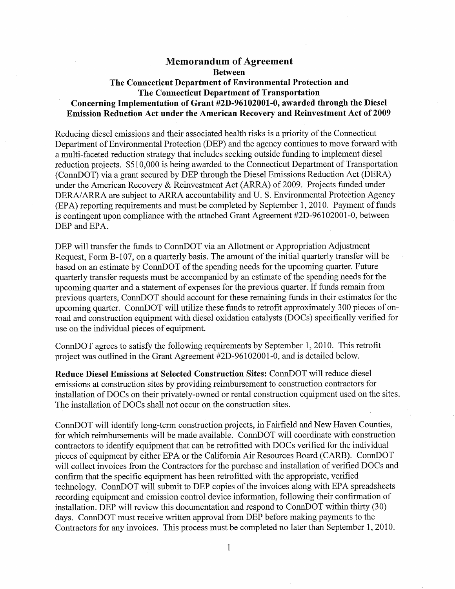## **Memorandum of Agreement Between The Connecticut Department of Environmental Protection and The Connecticut Department of Transportation Concerning Implementation of Grant #2D-96102001-0, awarded through the Diesel Emission Reduction Act under the American Recovery and Reinvestment Act of 2009**

Reducing diesel emissions and their associated health risks is a priority of the Connecticut Department of Environmental Protection (DEP) and the agency continues to move forward with a multi-faceted reduction strategy that includes seeking outside funding to implement diesel reduction projects. \$510,000 is being awarded to the Connecticut Department of Transportation (ConnDOT) via a grant secured by DEP through the Diesel Emissions Reduction Act (DERA) under the American Recovery & Reinvestment Act (ARRA) of 2009. Projects funded under DERA/ARRA are subject to ARRA accountability and U. S. Environmental Protection Agency (EPA) reporting requirements and must be completed by September 1, 2010. Payment of funds is contingent upon compliance with the attached Grant Agreement #2D-96102001-0, between DEP and EPA.

DEP will transfer the funds to ConnDOT via an Allotment or Appropriation Adjustment Request, Form B-107, on a quarterly basis. The amount of the initial quarterly transfer will be based on an estimate by ConnDOT of the spending needs for the upcoming quarter. Future quarterly transfer requests must be accompanied by an estimate of the spending needs for the upcoming quarter and a statement of expenses for the previous quarter. If funds remain from previous quarters, ConnDOT should account for these remaining funds in their estimates for the upcoming quarter. ConnDOT will utilize these funds to retrofit approximately 300 pieces of onroad and construction equipment with diesel oxidation catalysts (DOCs) specifically verified for use on the individual pieces of equipment.

ConnDOT agrees to satisfy the following requirements by September 1, 2010. This retrofit project was outlined in the Grant Agreement #2D-96102001-0, and is detailed below.

**Reduce Diesel Emissions at Selected Construction Sites:** ConnDOT will reduce diesel emissions at construction sites by providing reimbursement to construction contractors for installation of DOCs on their privately-owned or rental construction equipment used on the sites. The installation of DOCs shall not occur on the construction sites.

ConnDOT will identify long-term construction projects, in Fairfield and New Haven Counties, for which reimbursements will be made available. ConnDOT will coordinate with construction contractors to identify equipment that can be retrofitted with DOCs verified for the individual pieces of equipment by either EPA or the California Air Resources Board (CARB). ConnDOT will collect invoices from the Contractors for the purchase and installation of verified DOCs and confirm that the specific equipment has been retrofitted with the appropriate, verified technology. ConnDOT will submit to DEP copies of the invoices along with EPA spreadsheets recording equipment and emission control device information, following their confirmation of installation. DEP will review this documentation and respond to ConnDOT within thirty (30) days. ConnDOT must receive written approval from DEP before making payments to the Contractors for any invoices. This process must be completed no later than September 1, 2010.